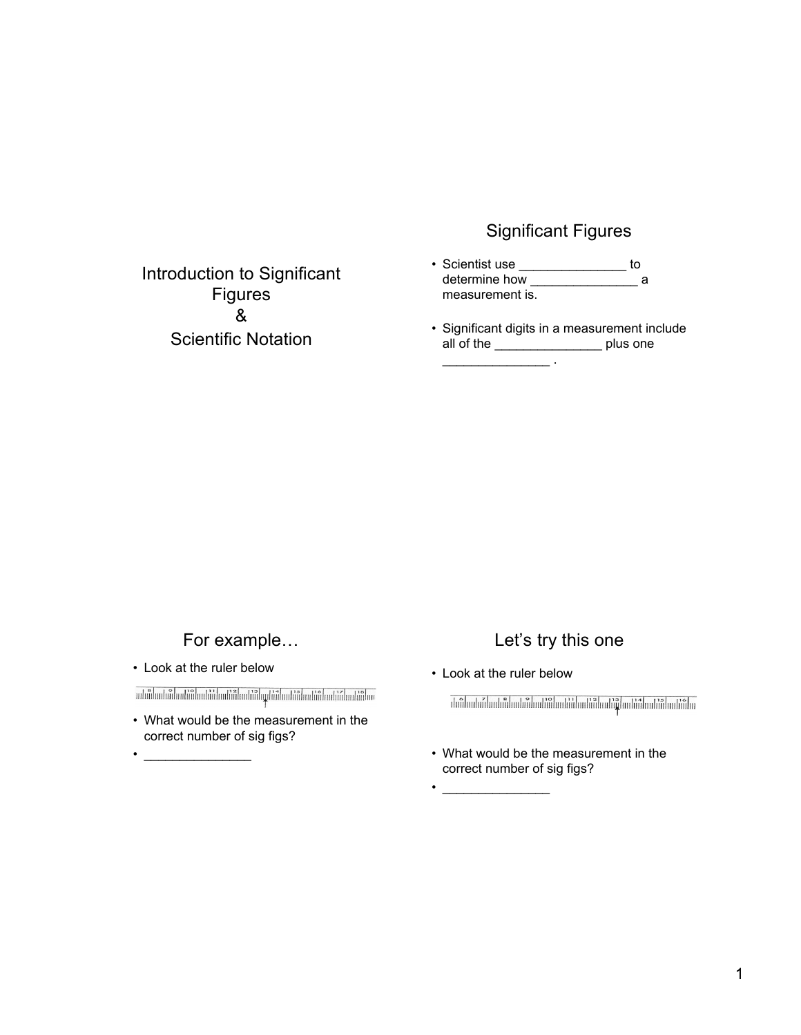### Significant Figures

- Scientist use \_\_\_\_\_\_\_\_\_\_\_\_\_\_\_ to determine how \_\_\_\_\_\_\_\_\_\_\_\_\_\_\_\_\_\_ a measurement is.
- Significant digits in a measurement include all of the \_\_\_\_\_\_\_\_\_\_\_\_\_\_\_ plus one  $\overline{\phantom{a}}$  .

For example…

Introduction to Significant Figures & Scientific Notation

• Look at the ruler below

 $\bullet$  . The set of the set of the set of the set of the set of the set of the set of the set of the set of the set of the set of the set of the set of the set of the set of the set of the set of the set of the set of the s

• What would be the measurement in the correct number of sig figs?

## Let's try this one

• Look at the ruler below

• \_\_\_\_\_\_\_\_\_\_\_\_\_\_\_

บีดันแปนนี้ปกปกัปแปนนี้ปกปกัปแปด้งในปกติปแปด้งในปกติปูนเปกัปแปด้งในปกติปแ

• What would be the measurement in the correct number of sig figs?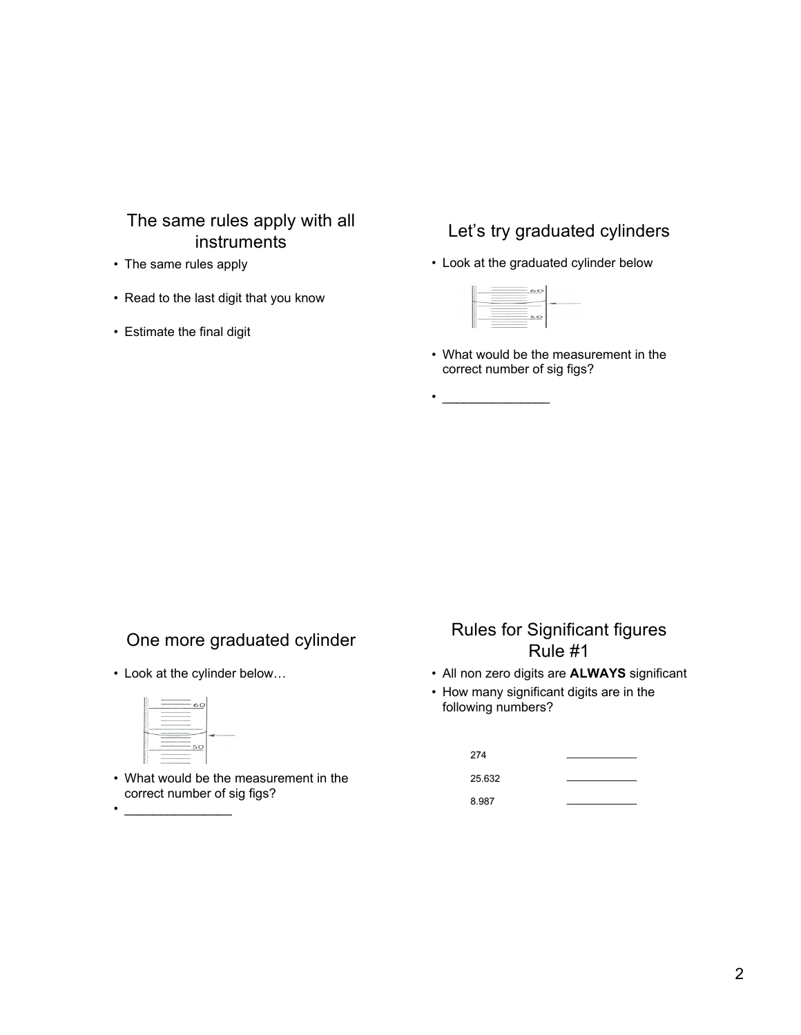# The same rules apply with all instruments

- The same rules apply
- Read to the last digit that you know
- Estimate the final digit

## Let's try graduated cylinders

• Look at the graduated cylinder below

| __________<br>the control of the control of the control of | ويتانى<br>$\sim$ |  |
|------------------------------------------------------------|------------------|--|
|                                                            | ____<br>______   |  |
|                                                            | ______           |  |

 $\bullet$   $\_\_$ 

• What would be the measurement in the correct number of sig figs?

# One more graduated cylinder

• Look at the cylinder below…



 $\bullet$   $\qquad$ 

• What would be the measurement in the correct number of sig figs?

# Rules for Significant figures Rule #1

- All non zero digits are **ALWAYS** significant
- How many significant digits are in the following numbers?

| 274    |  |
|--------|--|
| 25.632 |  |
| 8.987  |  |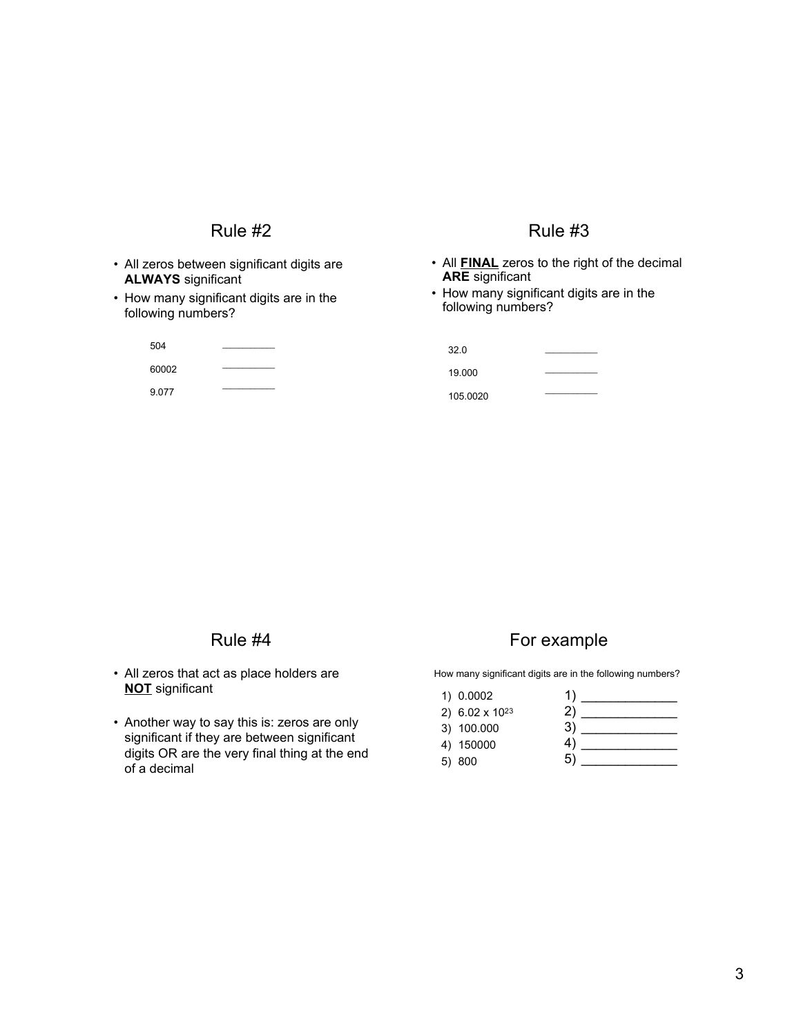### Rule #2

- All zeros between significant digits are **ALWAYS** significant
- How many significant digits are in the following numbers?

504 60002 9.077  $\overline{\phantom{a}}$ 

#### Rule #3

- All **FINAL** zeros to the right of the decimal **ARE** significant
- How many significant digits are in the following numbers?

32.0 19.000 105.0020  $\mathcal{L}=\mathcal{L}$  $\overline{\phantom{a}}$ 

#### Rule #4

- All zeros that act as place holders are **NOT** significant
- Another way to say this is: zeros are only significant if they are between significant digits OR are the very final thing at the end of a decimal

## For example

How many significant digits are in the following numbers?

| 1) 0.0002                  |    |
|----------------------------|----|
| 2) 6.02 x 10 <sup>23</sup> |    |
| 3) 100.000                 | 3) |
| 4) 150000                  | 4  |
| 5) 800                     | 5  |
|                            |    |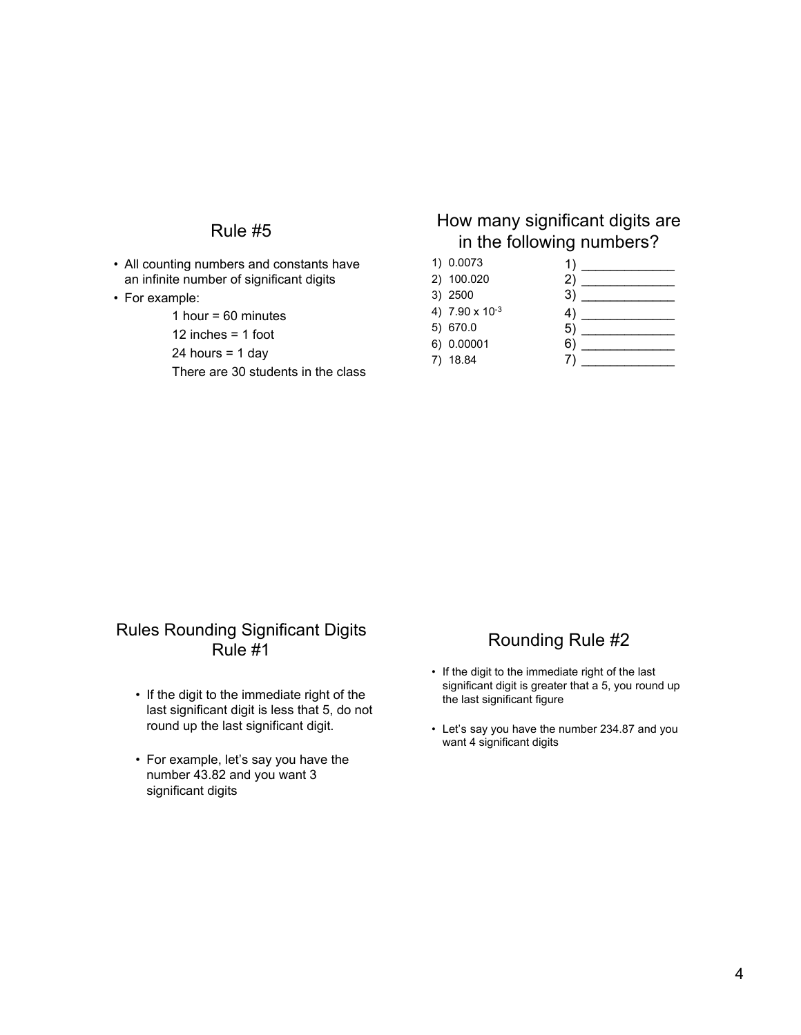### Rule #5

- All counting numbers and constants have an infinite number of significant digits
- For example:

1 hour =  $60$  minutes

12 inches = 1 foot

24 hours =  $1$  day

There are 30 students in the class

## How many significant digits are in the following numbers?

| 1) 0.0073      | 1) |  |
|----------------|----|--|
| 2) 100.020     | 2) |  |
| 3) 2500        | 3) |  |
| 4) 7.90 x 10-3 | 4) |  |
| 5) 670.0       | 5) |  |
| 6) 0.00001     | 6) |  |
| 18.84          |    |  |

### Rules Rounding Significant Digits Rule #1

- If the digit to the immediate right of the last significant digit is less that 5, do not round up the last significant digit.
- For example, let's say you have the number 43.82 and you want 3 significant digits

### Rounding Rule #2

- If the digit to the immediate right of the last significant digit is greater that a 5, you round up the last significant figure
- Let's say you have the number 234.87 and you want 4 significant digits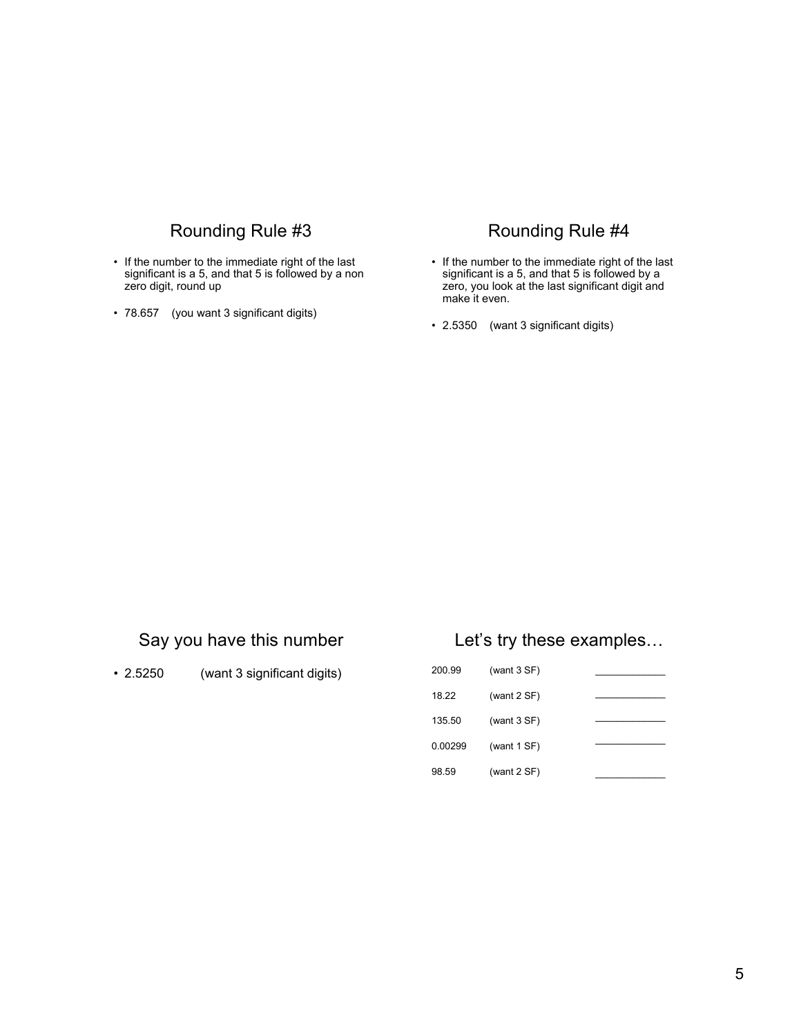# Rounding Rule #3

- If the number to the immediate right of the last significant is a 5, and that 5 is followed by a non zero digit, round up
- 78.657 (you want 3 significant digits)

### Rounding Rule #4

- If the number to the immediate right of the last significant is a 5, and that 5 is followed by a zero, you look at the last significant digit and make it even.
- 2.5350 (want 3 significant digits)

## Say you have this number

• 2.5250 (want 3 significant digits)

### Let's try these examples…

| 200.99  | (want $3 SF$ ) |  |
|---------|----------------|--|
| 18.22   | (want $2 SF$ ) |  |
| 135.50  | (want $3 SF$ ) |  |
| 0.00299 | (want $1 SF$ ) |  |
| 98.59   | (want $2 SF$ ) |  |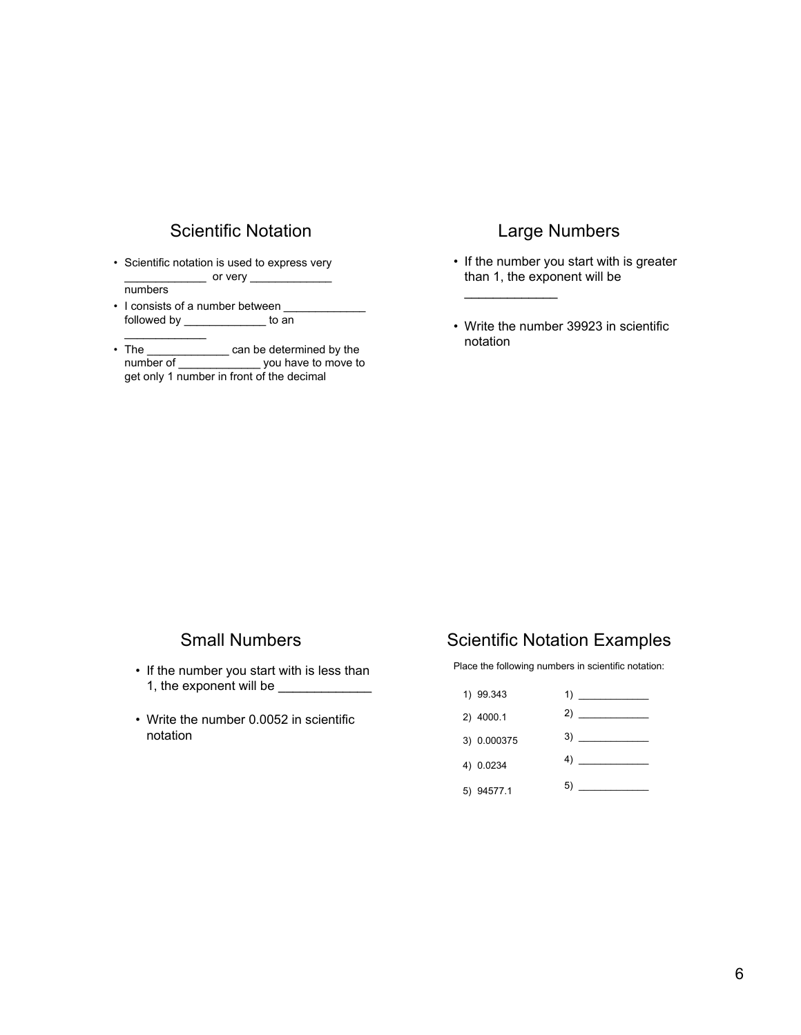### Scientific Notation

• Scientific notation is used to express very  $\equiv$  or very  $\equiv$ 

numbers

- I consists of a number between followed by \_\_\_\_\_\_\_\_\_\_\_\_\_ to an
- The \_\_\_\_\_\_\_\_\_\_\_\_\_\_ can be determined by the number of number of move to get only 1 number in front of the decimal

### Large Numbers

- If the number you start with is greater than 1, the exponent will be
- Write the number 39923 in scientific notation

\_\_\_\_\_\_\_\_\_\_\_\_\_

### Small Numbers

- If the number you start with is less than 1, the exponent will be \_\_\_\_\_\_\_\_\_\_\_\_\_
- Write the number 0.0052 in scientific notation

## Scientific Notation Examples

Place the following numbers in scientific notation:

1) 99.343 2) 4000.1 3) 0.000375 4) 0.0234 5) 94577.1 1) \_\_\_\_\_\_\_\_\_\_\_\_\_ 2) \_\_\_\_\_\_\_\_\_\_\_\_\_ 3) \_\_\_\_\_\_\_\_\_\_\_\_\_ 4) \_\_\_\_\_\_\_\_\_\_\_\_\_  $5)$